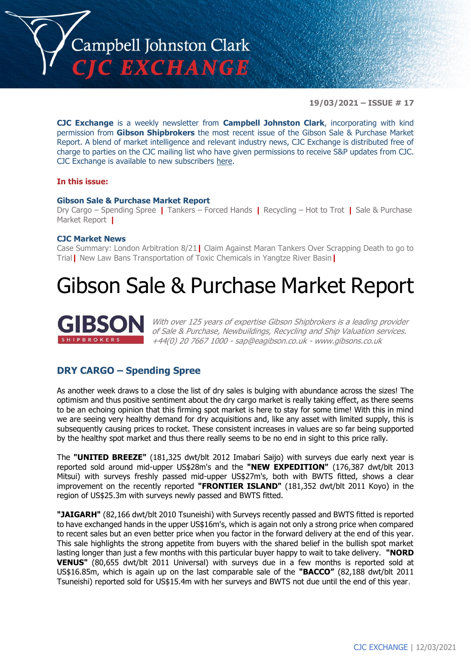

**19/03/2021 – ISSUE # 17**

**CJC Exchange** is a weekly newsletter from **Campbell Johnston Clark**, incorporating with kind permission from **Gibson Shipbrokers** the most recent issue of the Gibson Sale & Purchase Market Report. A blend of market intelligence and relevant industry news, CJC Exchange is distributed free of charge to parties on the CJC mailing list who have given permissions to receive S&P updates from CJC. CJC Exchange is available to new subscribers [here.](mailto:jamesc@cjclaw.com?subject=CJC%20Exchange%20sign-up)

### **In this issue:**

### **Gibson Sale & Purchase Market Report**

Dry Cargo – Spending Spree **|** Tankers – Forced Hands **|** Recycling – Hot to Trot **|** Sale & Purchase Market Report **|**

### **CJC Market News**

Case Summary: London Arbitration 8/21**|** Claim Against Maran Tankers Over Scrapping Death to go to Trial**|** New Law Bans Transportation of Toxic Chemicals in Yangtze River Basin**|**

## Gibson Sale & Purchase Market Report



With over 125 years of expertise Gibson Shipbrokers is a leading provider of Sale & Purchase, Newbuildings, Recycling and Ship Valuation services. +44(0) 20 7667 1000 - [sap@eagibson.co.uk](mailto:sap@eagibson.co.uk) - [www.gibsons.co.uk](https://protect-eu.mimecast.com/s/VO6nCGZzRS60KqcK1jQh/)

### **DRY CARGO – Spending Spree**

As another week draws to a close the list of dry sales is bulging with abundance across the sizes! The optimism and thus positive sentiment about the dry cargo market is really taking effect, as there seems to be an echoing opinion that this firming spot market is here to stay for some time! With this in mind we are seeing very healthy demand for dry acquisitions and, like any asset with limited supply, this is subsequently causing prices to rocket. These consistent increases in values are so far being supported by the healthy spot market and thus there really seems to be no end in sight to this price rally.

The **"UNITED BREEZE"** (181,325 dwt/blt 2012 Imabari Saijo) with surveys due early next year is reported sold around mid-upper US\$28m's and the **"NEW EXPEDITION"** (176,387 dwt/blt 2013 Mitsui) with surveys freshly passed mid-upper US\$27m's, both with BWTS fitted, shows a clear improvement on the recently reported **"FRONTIER ISLAND"** (181,352 dwt/blt 2011 Koyo) in the region of US\$25.3m with surveys newly passed and BWTS fitted.

**"JAIGARH"** (82,166 dwt/blt 2010 Tsuneishi) with Surveys recently passed and BWTS fitted is reported to have exchanged hands in the upper US\$16m's, which is again not only a strong price when compared to recent sales but an even better price when you factor in the forward delivery at the end of this year. This sale highlights the strong appetite from buyers with the shared belief in the bullish spot market lasting longer than just a few months with this particular buyer happy to wait to take delivery. **"NORD VENUS"** (80,655 dwt/blt 2011 Universal) with surveys due in a few months is reported sold at US\$16.85m, which is again up on the last comparable sale of the **"BACCO"** (82,188 dwt/blt 2011 Tsuneishi) reported sold for US\$15.4m with her surveys and BWTS not due until the end of this year.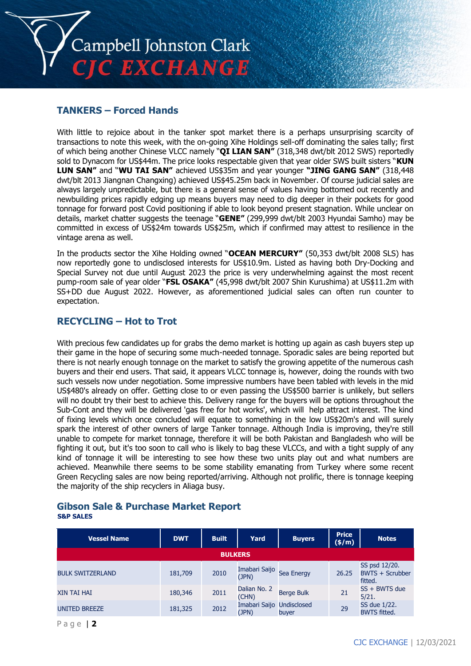

### **TANKERS – Forced Hands**

With little to rejoice about in the tanker spot market there is a perhaps unsurprising scarcity of transactions to note this week, with the on-going Xihe Holdings sell-off dominating the sales tally; first of which being another Chinese VLCC namely "**QI LIAN SAN"** (318,348 dwt/blt 2012 SWS) reportedly sold to Dynacom for US\$44m. The price looks respectable given that year older SWS built sisters "**KUN LUN SAN"** and "**WU TAI SAN"** achieved US\$35m and year younger **"JING GANG SAN"** (318,448 dwt/blt 2013 Jiangnan Changxing) achieved US\$45.25m back in November. Of course judicial sales are always largely unpredictable, but there is a general sense of values having bottomed out recently and newbuilding prices rapidly edging up means buyers may need to dig deeper in their pockets for good tonnage for forward post Covid positioning if able to look beyond present stagnation. While unclear on details, market chatter suggests the teenage "**GENE"** (299,999 dwt/blt 2003 Hyundai Samho) may be committed in excess of US\$24m towards US\$25m, which if confirmed may attest to resilience in the vintage arena as well.

In the products sector the Xihe Holding owned "**OCEAN MERCURY"** (50,353 dwt/blt 2008 SLS) has now reportedly gone to undisclosed interests for US\$10.9m. Listed as having both Dry-Docking and Special Survey not due until August 2023 the price is very underwhelming against the most recent pump-room sale of year older "**FSL OSAKA"** (45,998 dwt/blt 2007 Shin Kurushima) at US\$11.2m with SS+DD due August 2022. However, as aforementioned judicial sales can often run counter to expectation.

### **RECYCLING – Hot to Trot**

With precious few candidates up for grabs the demo market is hotting up again as cash buyers step up their game in the hope of securing some much-needed tonnage. Sporadic sales are being reported but there is not nearly enough tonnage on the market to satisfy the growing appetite of the numerous cash buyers and their end users. That said, it appears VLCC tonnage is, however, doing the rounds with two such vessels now under negotiation. Some impressive numbers have been tabled with levels in the mid US\$480's already on offer. Getting close to or even passing the US\$500 barrier is unlikely, but sellers will no doubt try their best to achieve this. Delivery range for the buyers will be options throughout the Sub-Cont and they will be delivered 'gas free for hot works', which will help attract interest. The kind of fixing levels which once concluded will equate to something in the low US\$20m's and will surely spark the interest of other owners of large Tanker tonnage. Although India is improving, they're still unable to compete for market tonnage, therefore it will be both Pakistan and Bangladesh who will be fighting it out, but it's too soon to call who is likely to bag these VLCCs, and with a tight supply of any kind of tonnage it will be interesting to see how these two units play out and what numbers are achieved. Meanwhile there seems to be some stability emanating from Turkey where some recent Green Recycling sales are now being reported/arriving. Although not prolific, there is tonnage keeping the majority of the ship recyclers in Aliaga busy.

### **Gibson Sale & Purchase Market Report S&P SALES**

| <b>Vessel Name</b>      | <b>DWT</b> | <b>Built</b>   | Yard                   | <b>Buyers</b>               | <b>Price</b><br>(\$/m) | <b>Notes</b>                                       |
|-------------------------|------------|----------------|------------------------|-----------------------------|------------------------|----------------------------------------------------|
|                         |            | <b>BULKERS</b> |                        |                             |                        |                                                    |
| <b>BULK SWITZERLAND</b> | 181,709    | 2010           | Imabari Saijo<br>(JPN) | Sea Energy                  | 26.25                  | SS psd 12/20.<br><b>BWTS + Scrubber</b><br>fitted. |
| <b>XIN TAI HAI</b>      | 180,346    | 2011           | Dalian No. 2<br>(CHN)  | <b>Berge Bulk</b>           | 21                     | $SS + BWTS$ due<br>5/21.                           |
| <b>UNITED BREEZE</b>    | 181,325    | 2012           | Imabari Saijo<br>(JPN) | <b>Undisclosed</b><br>buyer | 29                     | SS due 1/22.<br><b>BWTS</b> fitted.                |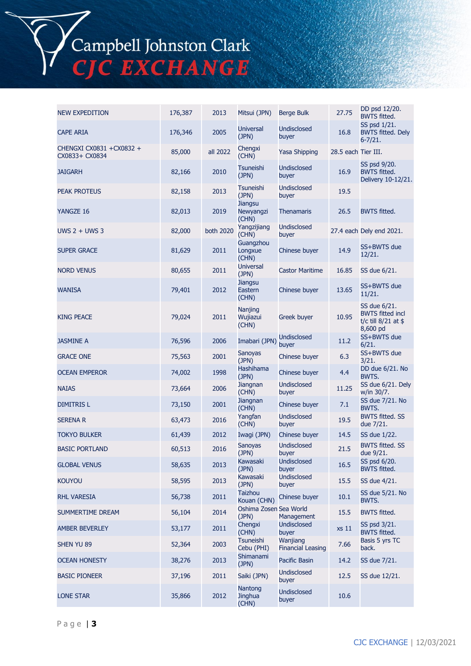Campbell Johnston Clark<br>CJC EXCHANGE

| <b>NEW EXPEDITION</b>                       | 176,387 | 2013      | Mitsui (JPN)                              | <b>Berge Bulk</b>                    | 27.75               | DD psd 12/20.<br><b>BWTS fitted.</b>                                       |
|---------------------------------------------|---------|-----------|-------------------------------------------|--------------------------------------|---------------------|----------------------------------------------------------------------------|
| <b>CAPE ARIA</b>                            | 176,346 | 2005      | <b>Universal</b><br>(JPN)                 | <b>Undisclosed</b><br>buyer          | 16.8                | SS psd 1/21.<br><b>BWTS fitted. Dely</b><br>$6 - 7/21.$                    |
| CHENGXI CX0831 + CX0832 +<br>CX0833+ CX0834 | 85,000  | all 2022  | Chengxi<br>(CHN)                          | <b>Yasa Shipping</b>                 | 28.5 each Tier III. |                                                                            |
| <b>JAIGARH</b>                              | 82,166  | 2010      | <b>Tsuneishi</b><br>(JPN)                 | <b>Undisclosed</b><br>buyer          | 16.9                | SS psd 9/20.<br><b>BWTS fitted.</b><br>Delivery 10-12/21.                  |
| <b>PEAK PROTEUS</b>                         | 82,158  | 2013      | <b>Tsuneishi</b><br>(JPN)                 | Undisclosed<br>buyer                 | 19.5                |                                                                            |
| YANGZE 16                                   | 82,013  | 2019      | <b>Jiangsu</b><br>Newyangzi<br>(CHN)      | <b>Thenamaris</b>                    | 26.5                | <b>BWTS fitted.</b>                                                        |
| UWS $2 +$ UWS 3                             | 82,000  | both 2020 | Yangzijiang<br>(CHN)                      | <b>Undisclosed</b><br>buyer          |                     | 27.4 each Dely end 2021.                                                   |
| <b>SUPER GRACE</b>                          | 81,629  | 2011      | Guangzhou<br>Longxue<br>(CHN)             | Chinese buyer                        | 14.9                | SS+BWTS due<br>12/21.                                                      |
| <b>NORD VENUS</b>                           | 80,655  | 2011      | <b>Universal</b><br>(JPN)                 | <b>Castor Maritime</b>               | 16.85               | SS due 6/21.                                                               |
| <b>WANISA</b>                               | 79,401  | 2012      | Jiangsu<br>Eastern<br>(CHN)               | Chinese buyer                        | 13.65               | SS+BWTS due<br>11/21.                                                      |
| <b>KING PEACE</b>                           | 79,024  | 2011      | Nanjing<br>Wujiazui<br>(CHN)              | Greek buyer                          | 10.95               | SS due 6/21.<br><b>BWTS fitted incl</b><br>t/c till 8/21 at \$<br>8,600 pd |
| <b>JASMINE A</b>                            | 76,596  | 2006      | Imabari (JPN)                             | <b>Undisclosed</b><br>buyer          | 11.2                | SS+BWTS due<br>6/21.                                                       |
| <b>GRACE ONE</b>                            | 75,563  | 2001      | <b>Sanoyas</b><br>(JPN)                   | Chinese buyer                        | 6.3                 | SS+BWTS due<br>3/21.                                                       |
| <b>OCEAN EMPEROR</b>                        | 74,002  | 1998      | Hashihama<br>(JPN)                        | Chinese buyer                        | 4.4                 | DD due 6/21. No<br>BWTS.                                                   |
| <b>NAIAS</b>                                | 73,664  | 2006      | Jiangnan<br>(CHN)                         | <b>Undisclosed</b><br>buyer          | 11.25               | SS due 6/21. Dely<br>w/in 30/7.                                            |
| <b>DIMITRIS L</b>                           | 73,150  | 2001      | Jiangnan<br>(CHN)                         | Chinese buyer                        | 7.1                 | SS due 7/21. No<br>BWTS.                                                   |
| <b>SERENA R</b>                             | 63,473  | 2016      | Yangfan<br>(CHN)                          | Undisclosed<br>buyer                 | 19.5                | <b>BWTS fitted. SS</b><br>due 7/21.                                        |
| <b>TOKYO BULKER</b>                         | 61,439  | 2012      | Iwagi (JPN)                               | Chinese buyer                        | 14.5                | SS due 1/22.                                                               |
| <b>BASIC PORTLAND</b>                       | 60,513  | 2016      | <b>Sanoyas</b><br>(JPN)                   | <b>Undisclosed</b><br>buyer          | 21.5                | <b>BWTS fitted. SS</b><br>due 9/21.                                        |
| <b>GLOBAL VENUS</b>                         | 58,635  | 2013      | Kawasaki<br>(JPN)                         | <b>Undisclosed</b><br>buyer          | 16.5                | SS psd 6/20.<br><b>BWTS fitted.</b>                                        |
| <b>KOUYOU</b>                               | 58,595  | 2013      | Kawasaki<br>(JPN)                         | <b>Undisclosed</b><br>buyer          | 15.5                | SS due 4/21.                                                               |
| <b>RHL VARESIA</b>                          | 56,738  | 2011      | <b>Taizhou</b><br>Kouan (CHN)             | Chinese buyer                        | 10.1                | SS due 5/21. No<br>BWTS.                                                   |
| SUMMERTIME DREAM                            | 56,104  | 2014      | Oshima Zosen Sea World<br>(JPN)           | Management                           | 15.5                | <b>BWTS fitted.</b>                                                        |
| <b>AMBER BEVERLEY</b>                       | 53,177  | 2011      | Chengxi<br>(CHN)                          | <b>Undisclosed</b><br>buyer          | xs 11               | SS psd 3/21.<br><b>BWTS fitted.</b>                                        |
| SHEN YU 89                                  | 52,364  | 2003      | Tsuneishi<br>Cebu (PHI)                   | Wanjiang<br><b>Financial Leasing</b> | 7.66                | Basis 5 yrs TC<br>back.                                                    |
| <b>OCEAN HONESTY</b>                        | 38,276  | 2013      | Shimanami<br>(JPN)                        | <b>Pacific Basin</b>                 | 14.2                | SS due 7/21.                                                               |
| <b>BASIC PIONEER</b>                        | 37,196  | 2011      | Saiki (JPN)                               | <b>Undisclosed</b><br>buyer          | 12.5                | SS due 12/21.                                                              |
| <b>LONE STAR</b>                            | 35,866  | 2012      | <b>Nantong</b><br><b>Jinghua</b><br>(CHN) | <b>Undisclosed</b><br>buyer          | 10.6                |                                                                            |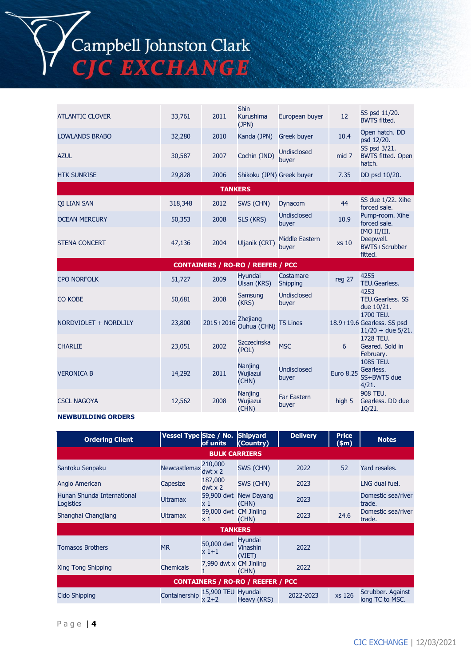# Campbell Johnston Clark<br>CJC EXCHANGE

| <b>ATLANTIC CLOVER</b> | 33,761  | 2011           | <b>Shin</b><br>Kurushima<br>(JPN)        | European buyer                 | 12               | SS psd 11/20.<br><b>BWTS fitted.</b>                           |
|------------------------|---------|----------------|------------------------------------------|--------------------------------|------------------|----------------------------------------------------------------|
| <b>LOWLANDS BRABO</b>  | 32,280  | 2010           | Kanda (JPN)                              | <b>Greek buyer</b>             | 10.4             | Open hatch. DD<br>psd 12/20.                                   |
| <b>AZUL</b>            | 30,587  | 2007           | Cochin (IND)                             | <b>Undisclosed</b><br>buyer    | mid 7            | SS psd 3/21.<br><b>BWTS fitted. Open</b><br>hatch.             |
| <b>HTK SUNRISE</b>     | 29,828  | 2006           | Shikoku (JPN) Greek buyer                |                                | 7.35             | DD psd 10/20.                                                  |
|                        |         | <b>TANKERS</b> |                                          |                                |                  |                                                                |
| <b>OI LIAN SAN</b>     | 318,348 | 2012           | SWS (CHN)                                | Dynacom                        | 44               | SS due 1/22. Xihe<br>forced sale.                              |
| <b>OCEAN MERCURY</b>   | 50,353  | 2008           | SLS (KRS)                                | <b>Undisclosed</b><br>buyer    | 10.9             | Pump-room. Xihe<br>forced sale.                                |
| <b>STENA CONCERT</b>   | 47,136  | 2004           | Uljanik (CRT)                            | <b>Middle Eastern</b><br>buyer | xs 10            | IMO II/III.<br>Deepwell.<br><b>BWTS+Scrubber</b><br>fitted.    |
|                        |         |                | <b>CONTAINERS / RO-RO / REEFER / PCC</b> |                                |                  |                                                                |
| <b>CPO NORFOLK</b>     | 51,727  | 2009           | Hyundai<br>Ulsan (KRS)                   | Costamare<br>Shipping          | reg 27           | 4255<br>TEU.Gearless.                                          |
| CO KOBE                | 50,681  | 2008           | Samsung<br>(KRS)                         | Undisclosed<br>buyer           |                  | 4253<br><b>TEU.Gearless. SS</b><br>due 10/21.                  |
| NORDVIOLET + NORDLILY  | 23,800  | 2015+2016      | Zhejiang<br>Ouhua (CHN)                  | <b>TS Lines</b>                |                  | 1700 TEU.<br>18.9+19.6 Gearless. SS psd<br>$11/20 +$ due 5/21. |
| <b>CHARLIE</b>         | 23,051  | 2002           | Szczecinska<br>(POL)                     | <b>MSC</b>                     | 6                | 1728 TEU.<br>Geared. Sold in<br>February.                      |
| <b>VERONICA B</b>      | 14,292  | 2011           | <b>Nanjing</b><br>Wujiazui<br>(CHN)      | <b>Undisclosed</b><br>buyer    | <b>Euro 8.25</b> | 1085 TEU.<br>Gearless.<br>SS+BWTS due<br>4/21.                 |
| <b>CSCL NAGOYA</b>     | 12,562  | 2008           | Nanjing<br>Wujiazui<br>(CHN)             | <b>Far Eastern</b><br>buyer    | high 5           | 908 TEU.<br>Gearless. DD due<br>10/21.                         |

#### **NEWBUILDING ORDERS**

| <b>Ordering Client</b>                  | Vessel Type Size / No. | of units                  | <b>Shipyard</b><br>(Country)             | <b>Delivery</b> | <b>Price</b><br>(\$m) | <b>Notes</b>                         |
|-----------------------------------------|------------------------|---------------------------|------------------------------------------|-----------------|-----------------------|--------------------------------------|
|                                         |                        | <b>BULK CARRIERS</b>      |                                          |                 |                       |                                      |
| Santoku Senpaku                         | Newcastlemax           | 210,000<br>$dwt \times 2$ | SWS (CHN)                                | 2022            | 52                    | Yard resales.                        |
| Anglo American                          | Capesize               | 187,000<br>$dwt \times 2$ | SWS (CHN)                                | 2023            |                       | LNG dual fuel.                       |
| Hunan Shunda International<br>Logistics | <b>Ultramax</b>        | 59,900 dwt<br>x 1         | New Dayang<br>(CHN)                      | 2023            |                       | Domestic sea/river<br>trade.         |
| Shanghai Changjiang                     | <b>Ultramax</b>        | 59,000 dwt<br>x 1         | <b>CM Jinling</b><br>(CHN)               | 2023            | 24.6                  | Domestic sea/river<br>trade.         |
|                                         |                        | <b>TANKERS</b>            |                                          |                 |                       |                                      |
| <b>Tomasos Brothers</b>                 | <b>MR</b>              | 50,000 dwt<br>x 1+1       | <b>Hyundai</b><br>Vinashin<br>(VIET)     | 2022            |                       |                                      |
| Xing Tong Shipping                      | <b>Chemicals</b>       | 7,990 dwt x CM Jinling    | (CHN)                                    | 2022            |                       |                                      |
|                                         |                        |                           | <b>CONTAINERS / RO-RO / REEFER / PCC</b> |                 |                       |                                      |
| Cido Shipping                           | Containership          | 15,900 TEU<br>x 2+2       | Hyundai<br>Heavy (KRS)                   | 2022-2023       | xs 126                | Scrubber. Against<br>long TC to MSC. |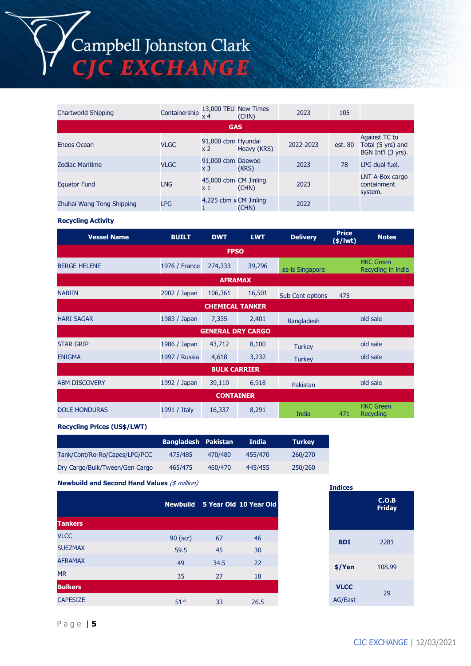## Campbell Johnston Clark<br>CJC EXCHANGE

| Chartworld Shipping       | Containership $\frac{13,000}{4}$ TEU New Times |                                      | (CHN)       | 2023      | 105     |                                                          |
|---------------------------|------------------------------------------------|--------------------------------------|-------------|-----------|---------|----------------------------------------------------------|
|                           |                                                | <b>GAS</b>                           |             |           |         |                                                          |
| Eneos Ocean               | VLGC                                           | 91,000 cbm Hyundai<br>x <sub>2</sub> | Heavy (KRS) | 2022-2023 | est. 80 | Against TC to<br>Total (5 yrs) and<br>BGN Int'l (3 yrs). |
| Zodiac Maritime           | <b>VLGC</b>                                    | 91,000 cbm Daewoo<br>x 3             | (KRS)       | 2023      | 78      | LPG dual fuel.                                           |
| <b>Equator Fund</b>       | <b>LNG</b>                                     | 45,000 cbm CM Jinling<br>x 1         | (CHN)       | 2023      |         | LNT A-Box cargo<br>containment<br>system.                |
| Zhuhai Wang Tong Shipping | <b>LPG</b>                                     | 4,225 cbm x CM Jinling               | (CHN)       | 2022      |         |                                                          |

**Recycling Activity**

| <b>Vessel Name</b>   | <b>BUILT</b>  | <b>DWT</b>               | <b>LWT</b> | <b>Delivery</b>   | <b>Price</b><br>$(*)$ lwt $)$ | <b>Notes</b>                           |
|----------------------|---------------|--------------------------|------------|-------------------|-------------------------------|----------------------------------------|
|                      |               | <b>FPSO</b>              |            |                   |                               |                                        |
| <b>BERGE HELENE</b>  | 1976 / France | 274,333                  | 39,796     | as-is Singapore   |                               | <b>HKC Green</b><br>Recycling in india |
|                      |               | <b>AFRAMAX</b>           |            |                   |                               |                                        |
| <b>NABIIN</b>        | 2002 / Japan  | 106,361                  | 16,501     | Sub Cont options  | 475                           |                                        |
|                      |               | <b>CHEMICAL TANKER</b>   |            |                   |                               |                                        |
| <b>HARI SAGAR</b>    | 1983 / Japan  | 7,335                    | 2,401      | <b>Bangladesh</b> |                               | old sale                               |
|                      |               | <b>GENERAL DRY CARGO</b> |            |                   |                               |                                        |
| <b>STAR GRIP</b>     | 1986 / Japan  | 43,712                   | 8,100      | <b>Turkey</b>     |                               | old sale                               |
| <b>ENIGMA</b>        | 1997 / Russia | 4,618                    | 3,232      | <b>Turkey</b>     |                               | old sale                               |
|                      |               | <b>BULK CARRIER</b>      |            |                   |                               |                                        |
| <b>ABM DISCOVERY</b> | 1992 / Japan  | 39,110                   | 6,918      | Pakistan          |                               | old sale                               |
|                      |               | <b>CONTAINER</b>         |            |                   |                               |                                        |
| <b>DOLE HONDURAS</b> | 1991 / Italy  | 16,337                   | 8,291      | India             | 471                           | <b>HKC</b> Green<br><b>Recycling</b>   |

**Recycling Prices (US\$/LWT)**

|                                | <b>Bangladesh Pakistan</b> |         | <b>India</b> | <b>Turkey</b> |
|--------------------------------|----------------------------|---------|--------------|---------------|
| Tank/Cont/Ro-Ro/Capes/LPG/PCC  | 475/485                    | 470/480 | 455/470      | 260/270       |
| Dry Cargo/Bulk/Tween/Gen Cargo | 465/475                    | 460/470 | 445/455      | 250/260       |

**Newbuild and Second Hand Values** (\$ million)

|                 |              | Newbuild 5 Year Old 10 Year Old |      |
|-----------------|--------------|---------------------------------|------|
| <b>Tankers</b>  |              |                                 |      |
| <b>VLCC</b>     | 90 (scr)     | 67                              | 46   |
| <b>SUEZMAX</b>  | 59.5         | 45                              | 30   |
| <b>AFRAMAX</b>  | 49           | 34.5                            | 22   |
| <b>MR</b>       | 35           | 27                              | 18   |
| <b>Bulkers</b>  |              |                                 |      |
| <b>CAPESIZE</b> | $51^{\circ}$ | 33                              | 26.5 |

| <b>Indices</b>                |                        |
|-------------------------------|------------------------|
|                               | C.O.B<br><b>Friday</b> |
| <b>BDI</b>                    | 2281                   |
| \$/Yen                        | 108.99                 |
| <b>VLCC</b><br><b>AG/East</b> | 29                     |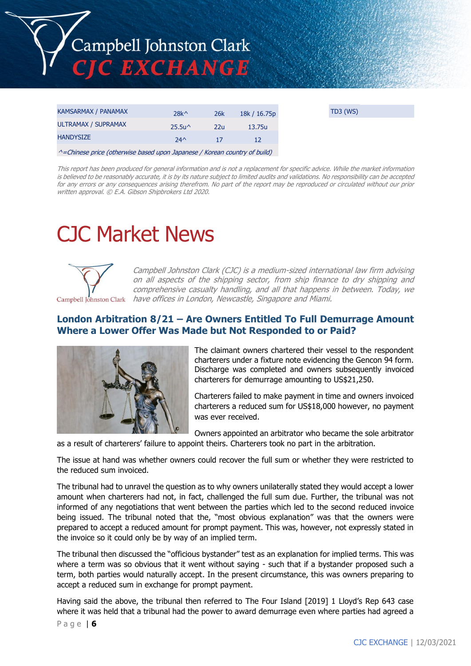

| 25.5 <sub>u</sub><br>22u<br>13.75u<br><b>HANDYSIZE</b><br>$24^$ | KAMSARMAX / PANAMAX | $28k^{\wedge}$ | 26k | 18k / 16.75p |
|-----------------------------------------------------------------|---------------------|----------------|-----|--------------|
|                                                                 | ULTRAMAX / SUPRAMAX |                |     |              |
|                                                                 |                     |                |     |              |

^=Chinese price (otherwise based upon Japanese / Korean country of build)

This report has been produced for general information and is not a replacement for specific advice. While the market information is believed to be reasonably accurate, it is by its nature subject to limited audits and validations. No responsibility can be accepted for any errors or any consequences arising therefrom. No part of the report may be reproduced or circulated without our prior written approval. © E.A. Gibson Shipbrokers Ltd 2020.

## CJC Market News



Campbell Johnston Clark (CJC) is a medium-sized international law firm advising on all aspects of the shipping sector, from ship finance to dry shipping and comprehensive casualty handling, and all that happens in between. Today, we Campbell Johnston Clark have offices in London, Newcastle, Singapore and Miami.

### **London Arbitration 8/21 – Are Owners Entitled To Full Demurrage Amount Where a Lower Offer Was Made but Not Responded to or Paid?**



The claimant owners chartered their vessel to the respondent charterers under a fixture note evidencing the Gencon 94 form. Discharge was completed and owners subsequently invoiced charterers for demurrage amounting to US\$21,250.

Charterers failed to make payment in time and owners invoiced charterers a reduced sum for US\$18,000 however, no payment was ever received.

Owners appointed an arbitrator who became the sole arbitrator

as a result of charterers' failure to appoint theirs. Charterers took no part in the arbitration.

The issue at hand was whether owners could recover the full sum or whether they were restricted to the reduced sum invoiced.

The tribunal had to unravel the question as to why owners unilaterally stated they would accept a lower amount when charterers had not, in fact, challenged the full sum due. Further, the tribunal was not informed of any negotiations that went between the parties which led to the second reduced invoice being issued. The tribunal noted that the, "most obvious explanation" was that the owners were prepared to accept a reduced amount for prompt payment. This was, however, not expressly stated in the invoice so it could only be by way of an implied term.

The tribunal then discussed the "officious bystander" test as an explanation for implied terms. This was where a term was so obvious that it went without saying - such that if a bystander proposed such a term, both parties would naturally accept. In the present circumstance, this was owners preparing to accept a reduced sum in exchange for prompt payment.

Having said the above, the tribunal then referred to The Four Island [2019] 1 Lloyd's Rep 643 case where it was held that a tribunal had the power to award demurrage even where parties had agreed a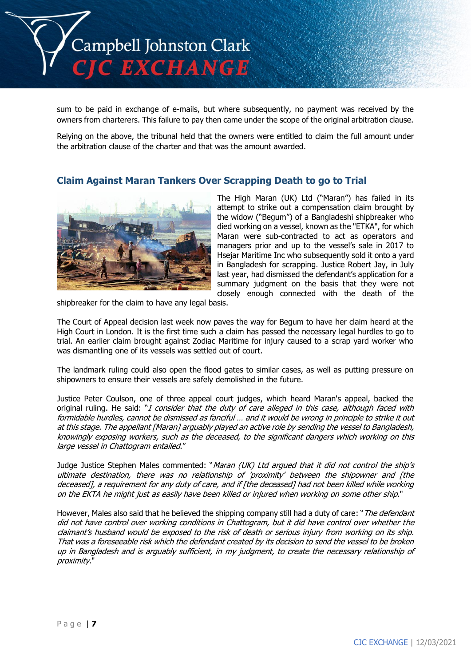

sum to be paid in exchange of e-mails, but where subsequently, no payment was received by the owners from charterers. This failure to pay then came under the scope of the original arbitration clause.

Relying on the above, the tribunal held that the owners were entitled to claim the full amount under the arbitration clause of the charter and that was the amount awarded.

### **Claim Against Maran Tankers Over Scrapping Death to go to Trial**



The High Maran (UK) Ltd ("Maran") has failed in its attempt to strike out a compensation claim brought by the widow ("Begum") of a Bangladeshi shipbreaker who died working on a vessel, known as the "ETKA", for which Maran were sub-contracted to act as operators and managers prior and up to the vessel's sale in 2017 to Hsejar Maritime Inc who subsequently sold it onto a yard in Bangladesh for scrapping. Justice Robert Jay, in July last year, had dismissed the defendant's application for a summary judgment on the basis that they were not closely enough connected with the death of the

shipbreaker for the claim to have any legal basis.

The Court of Appeal decision last week now paves the way for Begum to have her claim heard at the High Court in London. It is the first time such a claim has passed the necessary legal hurdles to go to trial. An earlier claim brought against Zodiac Maritime for injury caused to a scrap yard worker who was dismantling one of its vessels was settled out of court.

The landmark ruling could also open the flood gates to similar cases, as well as putting pressure on shipowners to ensure their vessels are safely demolished in the future.

Justice Peter Coulson, one of three appeal court judges, which heard Maran's appeal, backed the original ruling. He said: "I consider that the duty of care alleged in this case, although faced with formidable hurdles, cannot be dismissed as fanciful … and it would be wrong in principle to strike it out at this stage. The appellant [Maran] arguably played an active role by sending the vessel to Bangladesh, knowingly exposing workers, such as the deceased, to the significant dangers which working on this large vessel in Chattogram entailed."

Judge Justice Stephen Males commented: "Maran (UK) Ltd argued that it did not control the ship's ultimate destination, there was no relationship of 'proximity' between the shipowner and [the deceased], a requirement for any duty of care, and if [the deceased] had not been killed while working on the EKTA he might just as easily have been killed or injured when working on some other ship."

However, Males also said that he believed the shipping company still had a duty of care: "The defendant did not have control over working conditions in Chattogram, but it did have control over whether the claimant's husband would be exposed to the risk of death or serious injury from working on its ship. That was a foreseeable risk which the defendant created by its decision to send the vessel to be broken up in Bangladesh and is arguably sufficient, in my judgment, to create the necessary relationship of proximity."